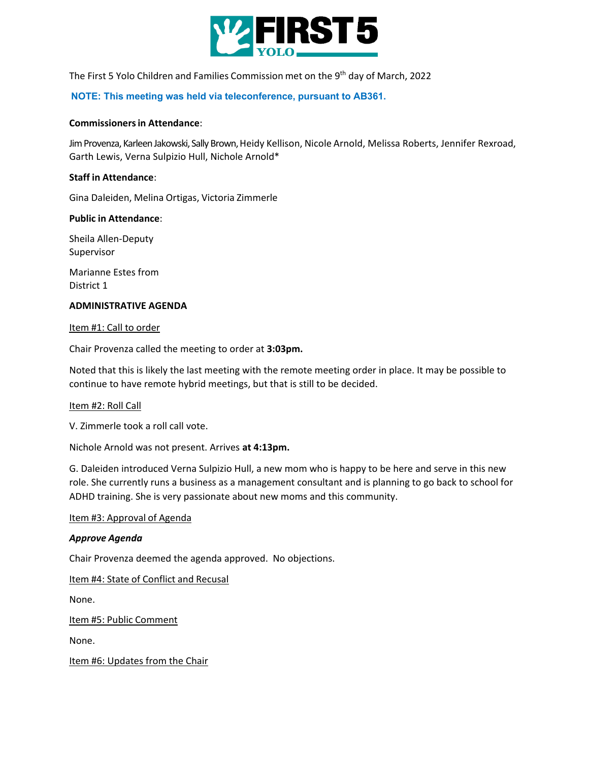

The First 5 Yolo Children and Families Commission met on the 9th day of March, 2022

#### **NOTE: This meeting was held via teleconference, pursuant to AB361.**

#### **Commissioners in Attendance**:

Jim Provenza, Karleen Jakowski, Sally Brown, Heidy Kellison, Nicole Arnold, Melissa Roberts, Jennifer Rexroad, Garth Lewis, Verna Sulpizio Hull, Nichole Arnold\*

#### **Staff in Attendance**:

Gina Daleiden, Melina Ortigas, Victoria Zimmerle

#### **Public in Attendance**:

Sheila Allen-Deputy Supervisor

Marianne Estes from District 1

#### **ADMINISTRATIVE AGENDA**

#### Item #1: Call to order

Chair Provenza called the meeting to order at **3:03pm.** 

Noted that this is likely the last meeting with the remote meeting order in place. It may be possible to continue to have remote hybrid meetings, but that is still to be decided.

#### Item #2: Roll Call

V. Zimmerle took a roll call vote.

Nichole Arnold was not present. Arrives **at 4:13pm.**

G. Daleiden introduced Verna Sulpizio Hull, a new mom who is happy to be here and serve in this new role. She currently runs a business as a management consultant and is planning to go back to school for ADHD training. She is very passionate about new moms and this community.

#### Item #3: Approval of Agenda

#### *Approve Agenda*

Chair Provenza deemed the agenda approved. No objections.

Item #4: State of Conflict and Recusal

None.

Item #5: Public Comment

None.

Item #6: Updates from the Chair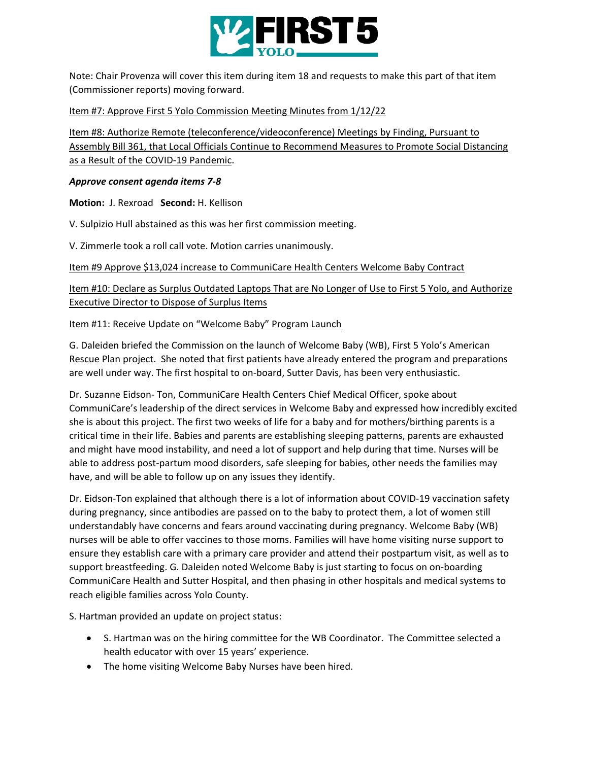

Note: Chair Provenza will cover this item during item 18 and requests to make this part of that item (Commissioner reports) moving forward.

# Item #7: Approve First 5 Yolo Commission Meeting Minutes from 1/12/22

Item #8: Authorize Remote (teleconference/videoconference) Meetings by Finding, Pursuant to Assembly Bill 361, that Local Officials Continue to Recommend Measures to Promote Social Distancing as a Result of the COVID-19 Pandemic.

### *Approve consent agenda items 7-8*

**Motion:** J. Rexroad **Second:** H. Kellison

V. Sulpizio Hull abstained as this was her first commission meeting.

V. Zimmerle took a roll call vote. Motion carries unanimously.

Item #9 Approve \$13,024 increase to CommuniCare Health Centers Welcome Baby Contract

Item #10: Declare as Surplus Outdated Laptops That are No Longer of Use to First 5 Yolo, and Authorize Executive Director to Dispose of Surplus Items

# Item #11: Receive Update on "Welcome Baby" Program Launch

G. Daleiden briefed the Commission on the launch of Welcome Baby (WB), First 5 Yolo's American Rescue Plan project. She noted that first patients have already entered the program and preparations are well under way. The first hospital to on-board, Sutter Davis, has been very enthusiastic.

Dr. Suzanne Eidson- Ton, CommuniCare Health Centers Chief Medical Officer, spoke about CommuniCare's leadership of the direct services in Welcome Baby and expressed how incredibly excited she is about this project. The first two weeks of life for a baby and for mothers/birthing parents is a critical time in their life. Babies and parents are establishing sleeping patterns, parents are exhausted and might have mood instability, and need a lot of support and help during that time. Nurses will be able to address post-partum mood disorders, safe sleeping for babies, other needs the families may have, and will be able to follow up on any issues they identify.

Dr. Eidson-Ton explained that although there is a lot of information about COVID-19 vaccination safety during pregnancy, since antibodies are passed on to the baby to protect them, a lot of women still understandably have concerns and fears around vaccinating during pregnancy. Welcome Baby (WB) nurses will be able to offer vaccines to those moms. Families will have home visiting nurse support to ensure they establish care with a primary care provider and attend their postpartum visit, as well as to support breastfeeding. G. Daleiden noted Welcome Baby is just starting to focus on on-boarding CommuniCare Health and Sutter Hospital, and then phasing in other hospitals and medical systems to reach eligible families across Yolo County.

S. Hartman provided an update on project status:

- S. Hartman was on the hiring committee for the WB Coordinator. The Committee selected a health educator with over 15 years' experience.
- The home visiting Welcome Baby Nurses have been hired.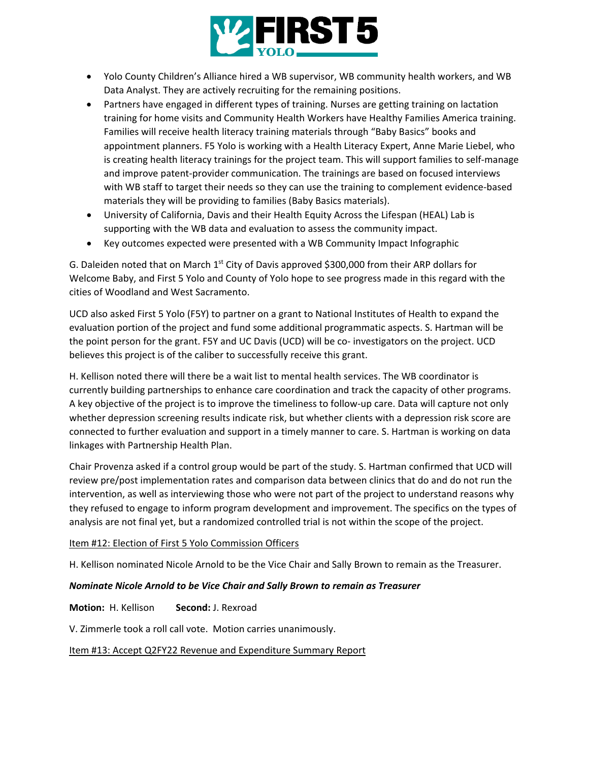

- Yolo County Children's Alliance hired a WB supervisor, WB community health workers, and WB Data Analyst. They are actively recruiting for the remaining positions.
- Partners have engaged in different types of training. Nurses are getting training on lactation training for home visits and Community Health Workers have Healthy Families America training. Families will receive health literacy training materials through "Baby Basics" books and appointment planners. F5 Yolo is working with a Health Literacy Expert, Anne Marie Liebel, who is creating health literacy trainings for the project team. This will support families to self-manage and improve patent-provider communication. The trainings are based on focused interviews with WB staff to target their needs so they can use the training to complement evidence-based materials they will be providing to families (Baby Basics materials).
- University of California, Davis and their Health Equity Across the Lifespan (HEAL) Lab is supporting with the WB data and evaluation to assess the community impact.
- Key outcomes expected were presented with a WB Community Impact Infographic

G. Daleiden noted that on March  $1<sup>st</sup>$  City of Davis approved \$300,000 from their ARP dollars for Welcome Baby, and First 5 Yolo and County of Yolo hope to see progress made in this regard with the cities of Woodland and West Sacramento.

UCD also asked First 5 Yolo (F5Y) to partner on a grant to National Institutes of Health to expand the evaluation portion of the project and fund some additional programmatic aspects. S. Hartman will be the point person for the grant. F5Y and UC Davis (UCD) will be co- investigators on the project. UCD believes this project is of the caliber to successfully receive this grant.

H. Kellison noted there will there be a wait list to mental health services. The WB coordinator is currently building partnerships to enhance care coordination and track the capacity of other programs. A key objective of the project is to improve the timeliness to follow-up care. Data will capture not only whether depression screening results indicate risk, but whether clients with a depression risk score are connected to further evaluation and support in a timely manner to care. S. Hartman is working on data linkages with Partnership Health Plan.

Chair Provenza asked if a control group would be part of the study. S. Hartman confirmed that UCD will review pre/post implementation rates and comparison data between clinics that do and do not run the intervention, as well as interviewing those who were not part of the project to understand reasons why they refused to engage to inform program development and improvement. The specifics on the types of analysis are not final yet, but a randomized controlled trial is not within the scope of the project.

### Item #12: Election of First 5 Yolo Commission Officers

H. Kellison nominated Nicole Arnold to be the Vice Chair and Sally Brown to remain as the Treasurer.

### *Nominate Nicole Arnold to be Vice Chair and Sally Brown to remain as Treasurer*

**Motion:** H. Kellison **Second:** J. Rexroad

V. Zimmerle took a roll call vote. Motion carries unanimously.

### Item #13: Accept Q2FY22 Revenue and Expenditure Summary Report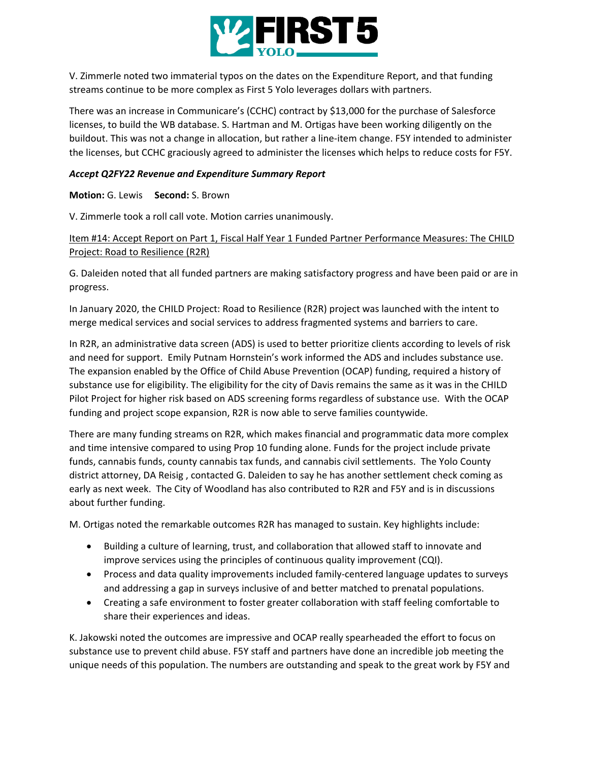

V. Zimmerle noted two immaterial typos on the dates on the Expenditure Report, and that funding streams continue to be more complex as First 5 Yolo leverages dollars with partners.

There was an increase in Communicare's (CCHC) contract by \$13,000 for the purchase of Salesforce licenses, to build the WB database. S. Hartman and M. Ortigas have been working diligently on the buildout. This was not a change in allocation, but rather a line-item change. F5Y intended to administer the licenses, but CCHC graciously agreed to administer the licenses which helps to reduce costs for F5Y.

### *Accept Q2FY22 Revenue and Expenditure Summary Report*

**Motion:** G. Lewis **Second:** S. Brown

V. Zimmerle took a roll call vote. Motion carries unanimously.

Item #14: Accept Report on Part 1, Fiscal Half Year 1 Funded Partner Performance Measures: The CHILD Project: Road to Resilience (R2R)

G. Daleiden noted that all funded partners are making satisfactory progress and have been paid or are in progress.

In January 2020, the CHILD Project: Road to Resilience (R2R) project was launched with the intent to merge medical services and social services to address fragmented systems and barriers to care.

In R2R, an administrative data screen (ADS) is used to better prioritize clients according to levels of risk and need for support. Emily Putnam Hornstein's work informed the ADS and includes substance use. The expansion enabled by the Office of Child Abuse Prevention (OCAP) funding, required a history of substance use for eligibility. The eligibility for the city of Davis remains the same as it was in the CHILD Pilot Project for higher risk based on ADS screening forms regardless of substance use. With the OCAP funding and project scope expansion, R2R is now able to serve families countywide.

There are many funding streams on R2R, which makes financial and programmatic data more complex and time intensive compared to using Prop 10 funding alone. Funds for the project include private funds, cannabis funds, county cannabis tax funds, and cannabis civil settlements. The Yolo County district attorney, DA Reisig , contacted G. Daleiden to say he has another settlement check coming as early as next week. The City of Woodland has also contributed to R2R and F5Y and is in discussions about further funding.

M. Ortigas noted the remarkable outcomes R2R has managed to sustain. Key highlights include:

- Building a culture of learning, trust, and collaboration that allowed staff to innovate and improve services using the principles of continuous quality improvement (CQI).
- Process and data quality improvements included family-centered language updates to surveys and addressing a gap in surveys inclusive of and better matched to prenatal populations.
- Creating a safe environment to foster greater collaboration with staff feeling comfortable to share their experiences and ideas.

K. Jakowski noted the outcomes are impressive and OCAP really spearheaded the effort to focus on substance use to prevent child abuse. F5Y staff and partners have done an incredible job meeting the unique needs of this population. The numbers are outstanding and speak to the great work by F5Y and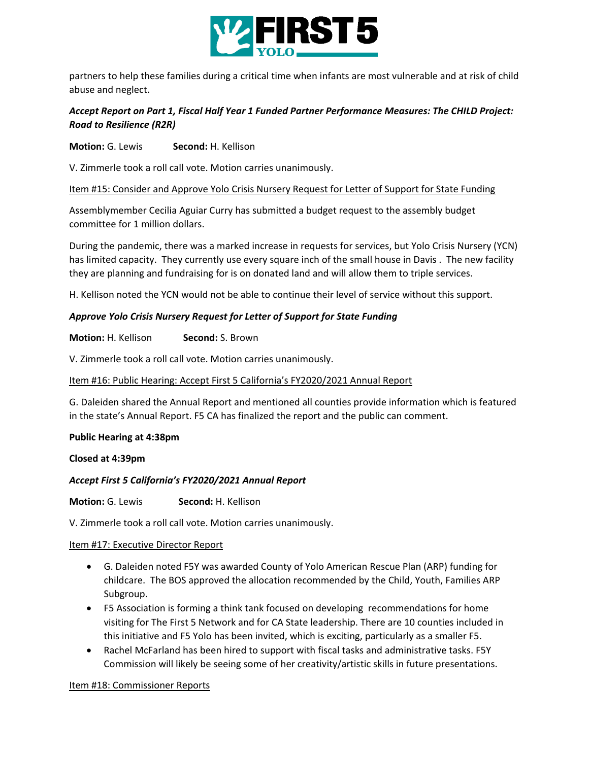

partners to help these families during a critical time when infants are most vulnerable and at risk of child abuse and neglect.

# *Accept Report on Part 1, Fiscal Half Year 1 Funded Partner Performance Measures: The CHILD Project: Road to Resilience (R2R)*

**Motion:** G. Lewis **Second:** H. Kellison

V. Zimmerle took a roll call vote. Motion carries unanimously.

Item #15: Consider and Approve Yolo Crisis Nursery Request for Letter of Support for State Funding

Assemblymember Cecilia Aguiar Curry has submitted a budget request to the assembly budget committee for 1 million dollars.

During the pandemic, there was a marked increase in requests for services, but Yolo Crisis Nursery (YCN) has limited capacity. They currently use every square inch of the small house in Davis . The new facility they are planning and fundraising for is on donated land and will allow them to triple services.

H. Kellison noted the YCN would not be able to continue their level of service without this support.

# *Approve Yolo Crisis Nursery Request for Letter of Support for State Funding*

**Motion:** H. Kellison **Second:** S. Brown

V. Zimmerle took a roll call vote. Motion carries unanimously.

### Item #16: Public Hearing: Accept First 5 California's FY2020/2021 Annual Report

G. Daleiden shared the Annual Report and mentioned all counties provide information which is featured in the state's Annual Report. F5 CA has finalized the report and the public can comment.

### **Public Hearing at 4:38pm**

**Closed at 4:39pm**

### *Accept First 5 California's FY2020/2021 Annual Report*

**Motion:** G. Lewis **Second:** H. Kellison

V. Zimmerle took a roll call vote. Motion carries unanimously.

### Item #17: Executive Director Report

- G. Daleiden noted F5Y was awarded County of Yolo American Rescue Plan (ARP) funding for childcare. The BOS approved the allocation recommended by the Child, Youth, Families ARP Subgroup.
- F5 Association is forming a think tank focused on developing recommendations for home visiting for The First 5 Network and for CA State leadership. There are 10 counties included in this initiative and F5 Yolo has been invited, which is exciting, particularly as a smaller F5.
- Rachel McFarland has been hired to support with fiscal tasks and administrative tasks. F5Y Commission will likely be seeing some of her creativity/artistic skills in future presentations.

### Item #18: Commissioner Reports